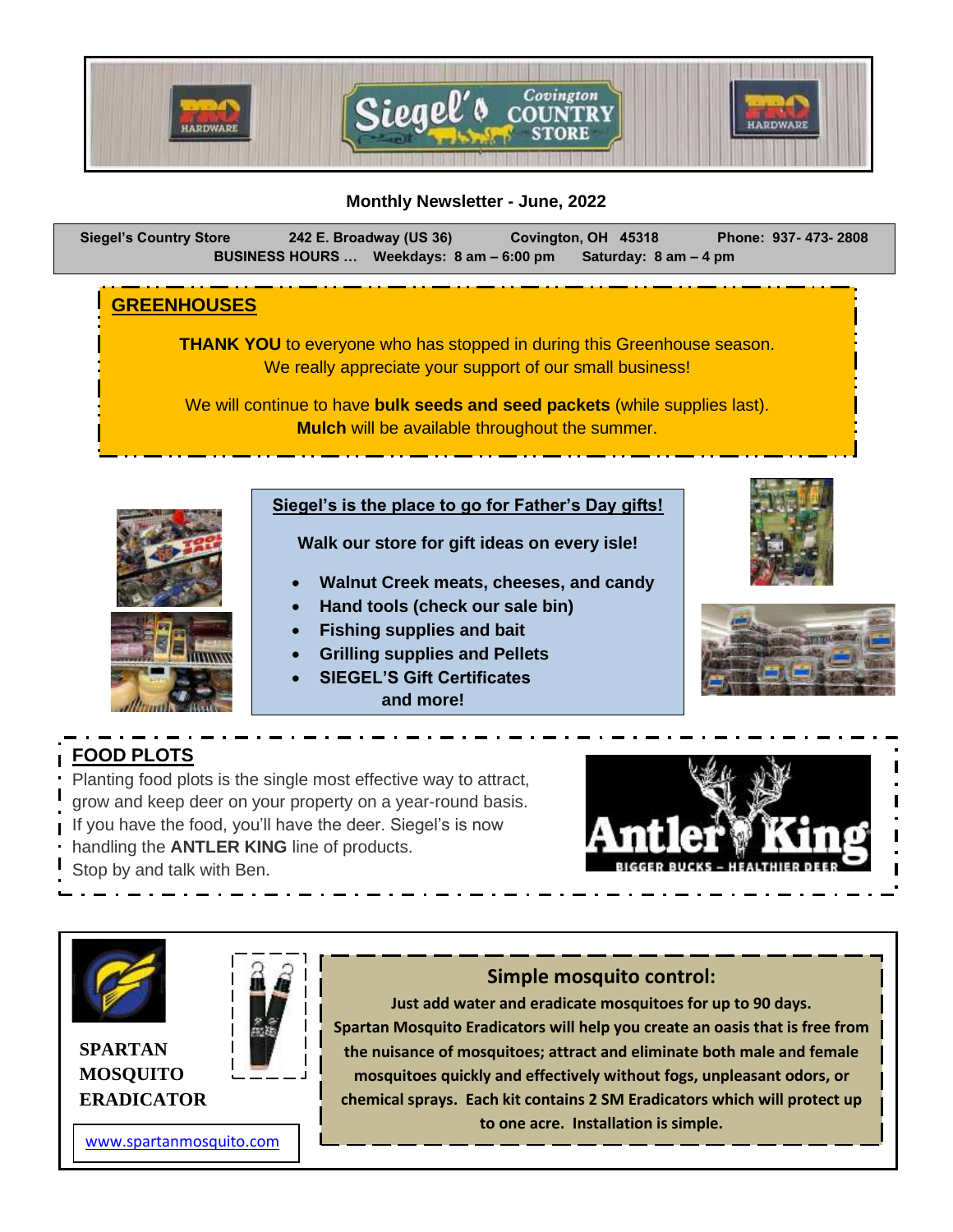

#### **Monthly Newsletter - June, 2022**

**Siegel's Country Store 242 E. Broadway (US 36) Covington, OH 45318 Phone: 937- 473- 2808 BUSINESS HOURS … Weekdays: 8 am – 6:00 pm Saturday: 8 am – 4 pm** 

#### **GREENHOUSES**

**THANK YOU** to everyone who has stopped in during this Greenhouse season. We really appreciate your support of our small business!

We will continue to have **bulk seeds and seed packets** (while supplies last). **Mulch** will be available throughout the summer.

# **Siegel's is the place to go for Father's Day gifts!**

**Walk our store for gift ideas on every isle!**

- **Walnut Creek meats, cheeses, and candy**
- **Hand tools (check our sale bin)**
- **Fishing supplies and bait**
- **Grilling supplies and Pellets**
- **SIEGEL'S Gift Certificates and more!**





# **FOOD PLOTS**

Planting food plots is the single most effective way to attract, grow and keep deer on your property on a year-round basis. If you have the food, you'll have the deer. Siegel's is now handling the **ANTLER KING** line of products. Stop by and talk with Ben.





**SPARTAN MOSQUITO ERADICATOR**



#### [www.spartanmosquito.com](http://www.spartanmosquito.com/)

### **Simple mosquito control:**

**Just add water and eradicate mosquitoes for up to 90 days. Spartan Mosquito Eradicators will help you create an oasis that is free from the nuisance of mosquitoes; attract and eliminate both male and female mosquitoes quickly and effectively without fogs, unpleasant odors, or chemical sprays. Each kit contains 2 SM Eradicators which will protect up to one acre. Installation is simple.**